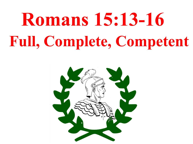## **Romans 15:13-16 Full, Complete, Competent**

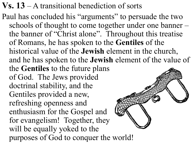- **Vs. 13**  A transitional benediction of sorts
- Paul has concluded his "arguments" to persuade the two schools of thought to come together under one banner – the banner of "Christ alone". Throughout this treatise of Romans, he has spoken to the **Gentiles** of the historical value of the **Jewish** element in the church, and he has spoken to the **Jewish** element of the value of the **Gentiles** to the future plans of God. The Jews provided doctrinal stability, and the Gentiles provided a new, refreshing openness and enthusiasm for the Gospel and for evangelism! Together, they will be equally yoked to the purposes of God to conquer the world!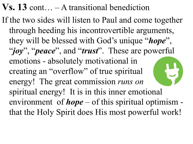## **Vs. 13** cont… – A transitional benediction

If the two sides will listen to Paul and come together through heeding his incontrovertible arguments, they will be blessed with God's unique "*hope*", "*joy*", "*peace*", and "*trust*". These are powerful emotions - absolutely motivational in creating an "overflow" of true spiritual energy! The great commission *runs on*  spiritual energy! It is in this inner emotional environment of *hope* – of this spiritual optimism that the Holy Spirit does His most powerful work!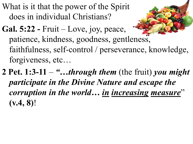What is it that the power of the Spirit does in individual Christians?

- **Gal. 5:22 -** Fruit Love, joy, peace, patience, kindness, goodness, gentleness, faithfulness, self-control / perseverance, knowledge, forgiveness, etc…
- **2 Pet. 1:3-11**  *"…through them* (the fruit) *you might participate in the Divine Nature and escape the corruption in the world… in increasing measure*" **(v.4, 8)**!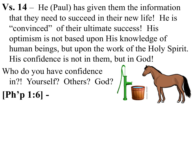$\bf{V}s. 14 - He (Paul)$  has given them the information that they need to succeed in their new life! He is "convinced" of their ultimate success! His optimism is not based upon His knowledge of human beings, but upon the work of the Holy Spirit. His confidence is not in them, but in God!

Who do you have confidence in?! Yourself? Others? God?



**[Ph'p 1:6] -**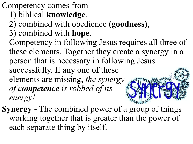Competency comes from

- 1) biblical **knowledge**,
- 2) combined with obedience **(goodness)**,
- 3) combined with **hope**.
- Competency in following Jesus requires all three of these elements. Together they create a synergy in a person that is necessary in following Jesus successfully. If any one of these elements are missing, *the synergy of competence is robbed of its energy!*
- **Synergy** The combined power of a group of things working together that is greater than the power of each separate thing by itself.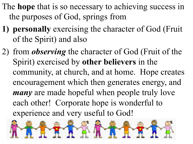- The **hope** that is so necessary to achieving success in the purposes of God, springs from
- **1) personally** exercising the character of God (Fruit of the Spirit) and also
- 2) from *observing* the character of God (Fruit of the Spirit) exercised by **other believers** in the community, at church, and at home. Hope creates encouragement which then generates energy, and *many* are made hopeful when people truly love each other! Corporate hope is wonderful to experience and very useful to God!

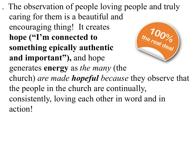. The observation of people loving people and truly caring for them is a beautiful and encouraging thing! It creates  $\frac{1000}{\frac{1}{100}}$ **hope ("I'm connected to something epically authentic and important"),** and hope generates **energy** as *the many* (the church) *are made hopeful because* they observe that the people in the church are continually, consistently, loving each other in word and in action!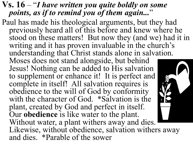## **Vs. 16** – "*I have written you quite boldly on some points, as if to remind you of them again...*"

Paul has made his theological arguments, but they had previously heard all of this before and knew where he stood on these matters! But now they (and we) had it in writing and it has proven invaluable in the church's understanding that Christ stands alone in salvation.

Moses does not stand alongside, but behind Jesus! Nothing can be added to His salvation to supplement or enhance it! It is perfect and complete in itself! All salvation requires is obedience to the will of God by conformity with the character of God. \*Salvation is the plant, created by God and perfect in itself. Our **obedience** is like water to the plant. Without water, a plant withers away and dies. Likewise, without obedience, salvation withers away and dies. \*Parable of the sower